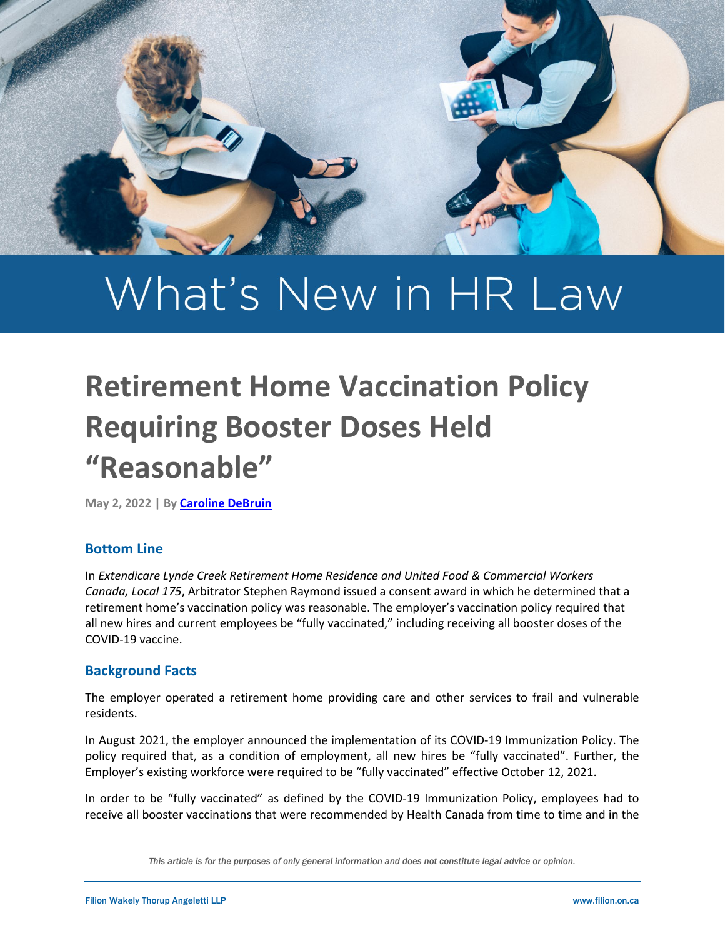

# What's New in HR Law

# **Retirement Home Vaccination Policy Requiring Booster Doses Held "Reasonable"**

**May 2, 2022 | By [Caroline DeBruin](https://filion.on.ca/lawyers/caroline-debruin/)**

#### **Bottom Line**

In *Extendicare Lynde Creek Retirement Home Residence and United Food & Commercial Workers Canada, Local 175*, Arbitrator Stephen Raymond issued a consent award in which he determined that a retirement home's vaccination policy was reasonable. The employer's vaccination policy required that all new hires and current employees be "fully vaccinated," including receiving all booster doses of the COVID-19 vaccine.

#### **Background Facts**

The employer operated a retirement home providing care and other services to frail and vulnerable residents.

In August 2021, the employer announced the implementation of its COVID-19 Immunization Policy. The policy required that, as a condition of employment, all new hires be "fully vaccinated". Further, the Employer's existing workforce were required to be "fully vaccinated" effective October 12, 2021.

In order to be "fully vaccinated" as defined by the COVID-19 Immunization Policy, employees had to receive all booster vaccinations that were recommended by Health Canada from time to time and in the

*This article is for the purposes of only general information and does not constitute legal advice or opinion.*